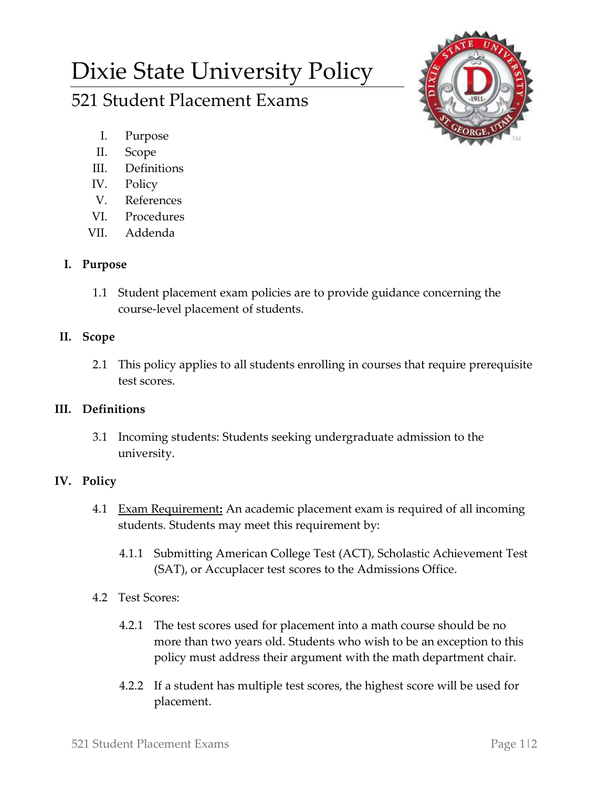# Dixie State University Policy

# 521 Student Placement Exams

- I. Purpose
- II. Scope
- III. Definitions
- IV. Policy
- V. References
- VI. Procedures
- VII. Addenda

## **I. Purpose**

1.1 Student placement exam policies are to provide guidance concerning the course-level placement of students.

## **II. Scope**

2.1 This policy applies to all students enrolling in courses that require prerequisite test scores.

## **III. Definitions**

3.1 Incoming students: Students seeking undergraduate admission to the university.

# **IV. Policy**

- 4.1 Exam Requirement**:** An academic placement exam is required of all incoming students. Students may meet this requirement by:
	- 4.1.1 Submitting American College Test (ACT), Scholastic Achievement Test (SAT), or Accuplacer test scores to the Admissions Office.
- 4.2 Test Scores:
	- 4.2.1 The test scores used for placement into a math course should be no more than two years old. Students who wish to be an exception to this policy must address their argument with the math department chair.
	- 4.2.2 If a student has multiple test scores, the highest score will be used for placement.